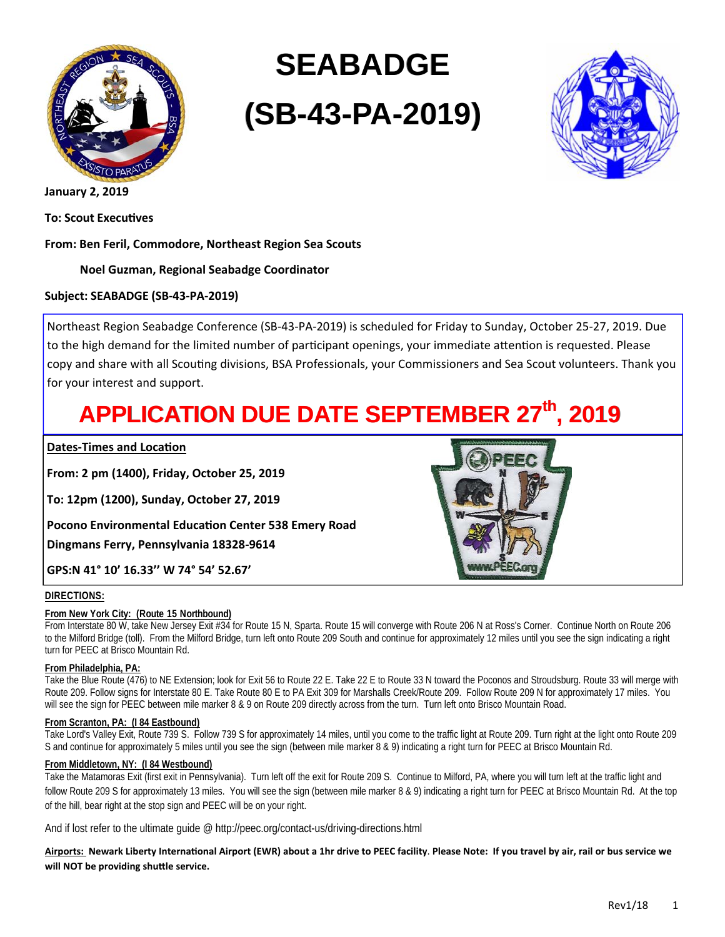

# **SEABADGE (SB-43-PA-2019)**



**January 2, 2019** 

**To: Scout ExecuƟves** 

**From: Ben Feril, Commodore, Northeast Region Sea Scouts** 

#### **Noel Guzman, Regional Seabadge Coordinator**

#### **Subject: SEABADGE (SB-43-PA-2019)**

Northeast Region Seabadge Conference (SB-43-PA-2019) is scheduled for Friday to Sunday, October 25-27, 2019. Due to the high demand for the limited number of participant openings, your immediate attention is requested. Please copy and share with all Scouting divisions, BSA Professionals, your Commissioners and Sea Scout volunteers. Thank you for your interest and support.

## **APPLICATION DUE DATE SEPTEMBER 27th, 2019**

#### **Dates-Times and Location**

**From: 2 pm (1400), Friday, October 25, 2019** 

**To: 12pm (1200), Sunday, October 27, 2019** 

**Pocono Environmental EducaƟon Center 538 Emery Road Dingmans Ferry, Pennsylvania 18328-9614** 

**GPS:N 41° 10' 16.33'' W 74° 54' 52.67'** 

#### **DIRECTIONS:**

#### **From New York City: (Route 15 Northbound)**

From Interstate 80 W, take New Jersey Exit #34 for Route 15 N, Sparta. Route 15 will converge with Route 206 N at Ross's Corner. Continue North on Route 206 to the Milford Bridge (toll). From the Milford Bridge, turn left onto Route 209 South and continue for approximately 12 miles until you see the sign indicating a right turn for PEEC at Brisco Mountain Rd.

#### **From Philadelphia, PA:**

Take the Blue Route (476) to NE Extension; look for Exit 56 to Route 22 E. Take 22 E to Route 33 N toward the Poconos and Stroudsburg. Route 33 will merge with Route 209. Follow signs for Interstate 80 E. Take Route 80 E to PA Exit 309 for Marshalls Creek/Route 209. Follow Route 209 N for approximately 17 miles. You will see the sign for PEEC between mile marker 8 & 9 on Route 209 directly across from the turn. Turn left onto Brisco Mountain Road.

#### **From Scranton, PA: (I 84 Eastbound)**

Take Lord's Valley Exit, Route 739 S. Follow 739 S for approximately 14 miles, until you come to the traffic light at Route 209. Turn right at the light onto Route 209 S and continue for approximately 5 miles until you see the sign (between mile marker 8 & 9) indicating a right turn for PEEC at Brisco Mountain Rd.

#### **From Middletown, NY: (I 84 Westbound)**

Take the Matamoras Exit (first exit in Pennsylvania). Turn left off the exit for Route 209 S. Continue to Milford, PA, where you will turn left at the traffic light and follow Route 209 S for approximately 13 miles. You will see the sign (between mile marker 8 & 9) indicating a right turn for PEEC at Brisco Mountain Rd. At the top of the hill, bear right at the stop sign and PEEC will be on your right.

And if lost refer to the ultimate quide @ http://peec.org/contact-us/driving-directions.html

Airports: Newark Liberty International Airport (EWR) about a 1hr drive to PEEC facility. Please Note: If you travel by air, rail or bus service we **will NOT be providing shuƩle service.** 

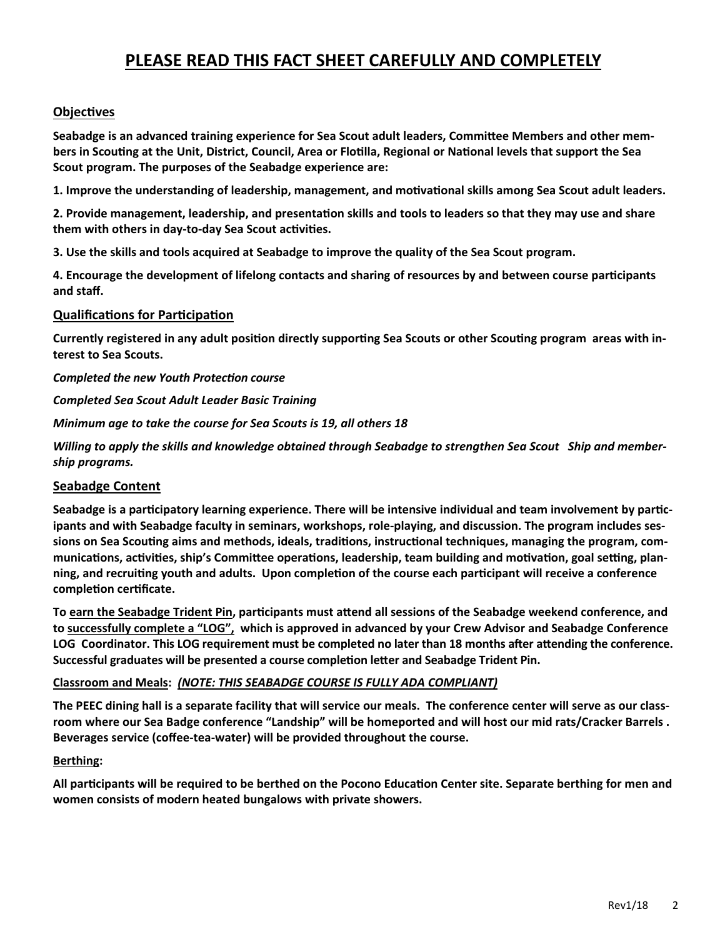### **PLEASE READ THIS FACT SHEET CAREFULLY AND COMPLETELY**

#### **ObjecƟves**

**Seabadge is an advanced training experience for Sea Scout adult leaders, CommiƩee Members and other members in ScouƟng at the Unit, District, Council, Area or FloƟlla, Regional or NaƟonal levels that support the Sea Scout program. The purposes of the Seabadge experience are:** 

**1. Improve the understanding of leadership, management, and moƟvaƟonal skills among Sea Scout adult leaders.** 

**2. Provide management, leadership, and presentaƟon skills and tools to leaders so that they may use and share them with others in day-to-day Sea Scout acƟviƟes.** 

**3. Use the skills and tools acquired at Seabadge to improve the quality of the Sea Scout program.** 

**4. Encourage the development of lifelong contacts and sharing of resources by and between course parƟcipants and staff.**

#### **QualificaƟons for ParƟcipaƟon**

Currently registered in any adult position directly supporting Sea Scouts or other Scouting program areas with in**terest to Sea Scouts.** 

*Completed the new Youth ProtecƟon course* 

*Completed Sea Scout Adult Leader Basic Training* 

*Minimum age to take the course for Sea Scouts is 19, all others 18* 

*Willing to apply the skills and knowledge obtained through Seabadge to strengthen Sea Scout Ship and membership programs.* 

#### **Seabadge Content**

Seabadge is a participatory learning experience. There will be intensive individual and team involvement by partic**ipants and with Seabadge faculty in seminars, workshops, role-playing, and discussion. The program includes sessions on Sea ScouƟng aims and methods, ideals, tradiƟons, instrucƟonal techniques, managing the program, com**munications, activities, ship's Committee operations, leadership, team building and motivation, goal setting, plan**ning, and recruiƟng youth and adults. Upon compleƟon of the course each parƟcipant will receive a conference compleƟon cerƟficate.** 

To earn the Seabadge Trident Pin, participants must attend all sessions of the Seabadge weekend conference, and **to successfully complete a "LOG", which is approved in advanced by your Crew Advisor and Seabadge Conference**  LOG Coordinator. This LOG requirement must be completed no later than 18 months after attending the conference. **Successful graduates will be presented a course completion letter and Seabadge Trident Pin.** 

#### **Classroom and Meals:** *(NOTE: THIS SEABADGE COURSE IS FULLY ADA COMPLIANT)*

**The PEEC dining hall is a separate facility that will service our meals. The conference center will serve as our classroom where our Sea Badge conference "Landship" will be homeported and will host our mid rats/Cracker Barrels . Beverages service (coffee-tea-water) will be provided throughout the course.** 

#### **Berthing:**

**All parƟcipants will be required to be berthed on the Pocono EducaƟon Center site. Separate berthing for men and women consists of modern heated bungalows with private showers.**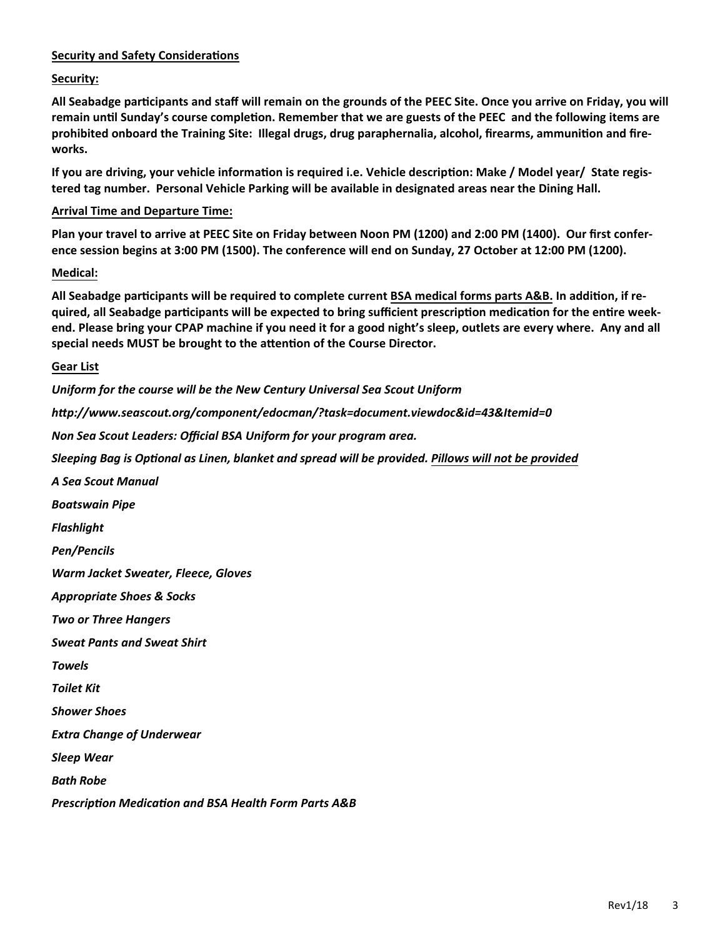#### **Security and Safety Considerations**

**Security:** 

**All Seabadge parƟcipants and staff will remain on the grounds of the PEEC Site. Once you arrive on Friday, you will remain unƟl Sunday's course compleƟon. Remember that we are guests of the PEEC and the following items are**  prohibited onboard the Training Site: Illegal drugs, drug paraphernalia, alcohol, firearms, ammunition and fire**works.**

If you are driving, your vehicle information is required i.e. Vehicle description: Make / Model year/ State regis**tered tag number. Personal Vehicle Parking will be available in designated areas near the Dining Hall.**

#### **Arrival Time and Departure Time:**

**Plan your travel to arrive at PEEC Site on Friday between Noon PM (1200) and 2:00 PM (1400). Our first conference session begins at 3:00 PM (1500). The conference will end on Sunday, 27 October at 12:00 PM (1200).** 

#### **Medical:**

All Seabadge participants will be required to complete current BSA medical forms parts A&B. In addition, if re**quired, all Seabadge parƟcipants will be expected to bring sufficient prescripƟon medicaƟon for the enƟre weekend. Please bring your CPAP machine if you need it for a good night's sleep, outlets are every where. Any and all special needs MUST be brought to the aƩenƟon of the Course Director.** 

#### **Gear List**

*Uniform for the course will be the New Century Universal Sea Scout Uniform*

*hƩp://www.seascout.org/component/edocman/?task=document.viewdoc&id=43&Itemid=0* 

*Non Sea Scout Leaders: Official BSA Uniform for your program area.* 

*Sleeping Bag is OpƟonal as Linen, blanket and spread will be provided. Pillows will not be provided*

*A Sea Scout Manual Boatswain Pipe Flashlight Pen/Pencils Warm Jacket Sweater, Fleece, Gloves Appropriate Shoes & Socks Two or Three Hangers Sweat Pants and Sweat Shirt Towels Toilet Kit Shower Shoes Extra Change of Underwear Sleep Wear Bath Robe PrescripƟon MedicaƟon and BSA Health Form Parts A&B*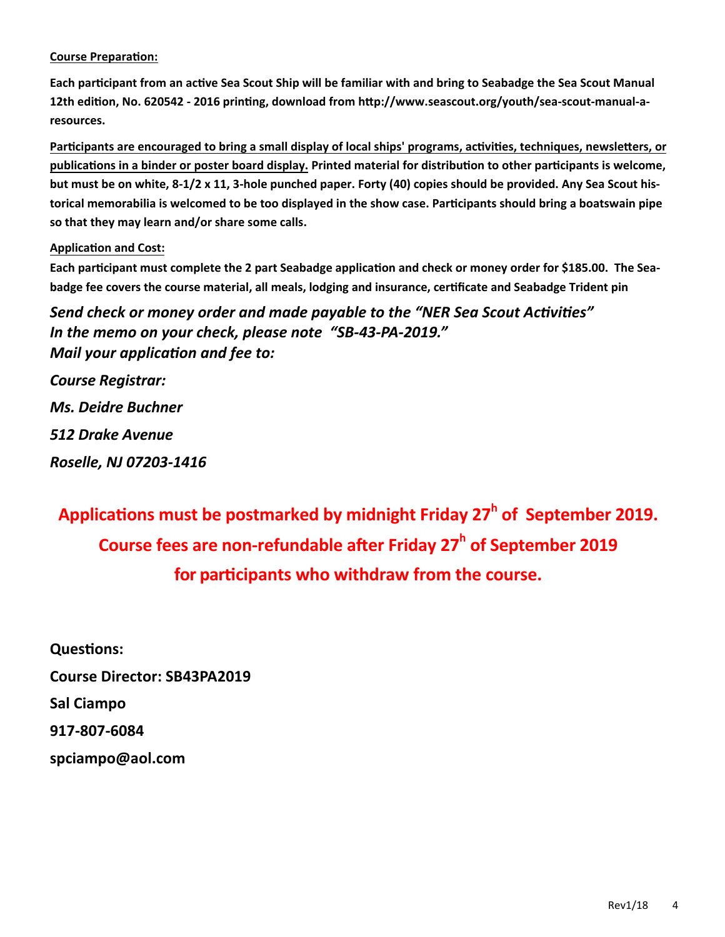#### **Course Preparation:**

**Each parƟcipant from an acƟve Sea Scout Ship will be familiar with and bring to Seabadge the Sea Scout Manual**  12th edition, No. 620542 - 2016 printing, download from http://www.seascout.org/youth/sea-scout-manual-a**resources.**

**ParƟcipants are encouraged to bring a small display of local ships' programs, acƟviƟes, techniques, newsleƩers, or publicaƟons in a binder or poster board display. Printed material for distribuƟon to other parƟcipants is welcome, but must be on white, 8-1/2 x 11, 3-hole punched paper. Forty (40) copies should be provided. Any Sea Scout historical memorabilia is welcomed to be too displayed in the show case. ParƟcipants should bring a boatswain pipe so that they may learn and/or share some calls.** 

#### **ApplicaƟon and Cost:**

**Each parƟcipant must complete the 2 part Seabadge applicaƟon and check or money order for \$185.00. The Seabadge fee covers the course material, all meals, lodging and insurance, cerƟficate and Seabadge Trident pin** 

*Send check or money order and made payable to the "NER Sea Scout AcƟviƟes" In the memo on your check, please note "SB-43-PA-2019." Mail your application and fee to:* 

*Course Registrar: Ms. Deidre Buchner 512 Drake Avenue Roselle, NJ 07203-1416* 

**ApplicaƟons must be postmarked by midnight Friday 27<sup>h</sup> of September 2019. Course fees are non-refundable after Friday 27<sup>h</sup> of September 2019 for parƟcipants who withdraw from the course.** 

**QuesƟons: Course Director: SB43PA2019 Sal Ciampo 917-807-6084 spciampo@aol.com**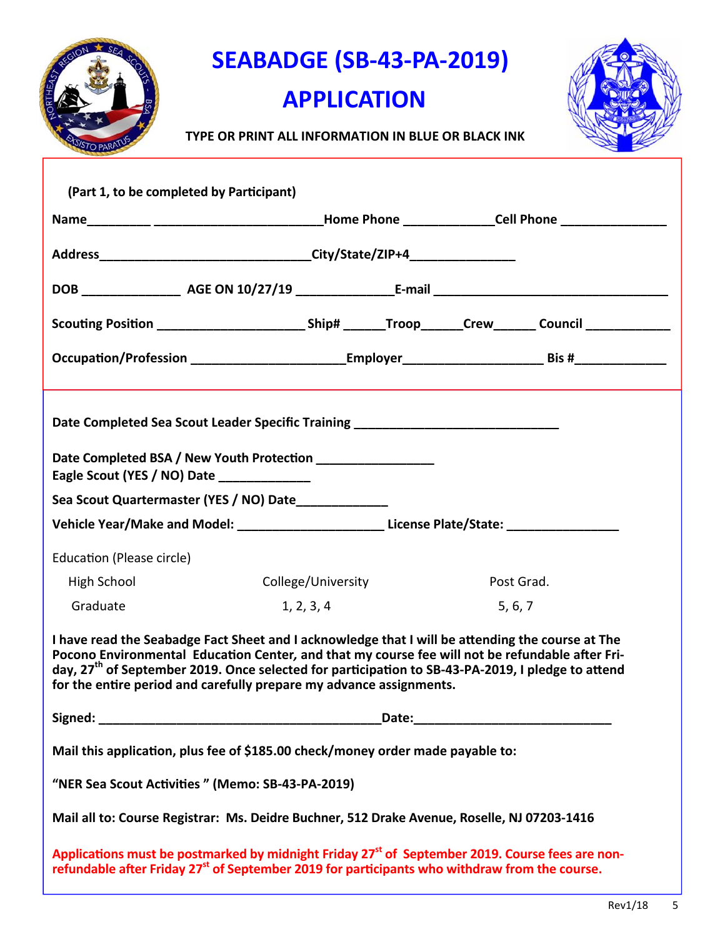

**SEABADGE (SB-43-PA-2019)** 

### **APPLICATION**



 **TYPE OR PRINT ALL INFORMATION IN BLUE OR BLACK INK**

| (Part 1, to be completed by Participant)                                                                                                                                                                                                                                                                                                                                                    |                    |            |  |  |  |
|---------------------------------------------------------------------------------------------------------------------------------------------------------------------------------------------------------------------------------------------------------------------------------------------------------------------------------------------------------------------------------------------|--------------------|------------|--|--|--|
|                                                                                                                                                                                                                                                                                                                                                                                             |                    |            |  |  |  |
|                                                                                                                                                                                                                                                                                                                                                                                             |                    |            |  |  |  |
|                                                                                                                                                                                                                                                                                                                                                                                             |                    |            |  |  |  |
| Scouting Position _____________________________Ship# _______Troop_______Crew_______ Council ______________                                                                                                                                                                                                                                                                                  |                    |            |  |  |  |
|                                                                                                                                                                                                                                                                                                                                                                                             |                    |            |  |  |  |
| Date Completed Sea Scout Leader Specific Training ______________________________<br>Date Completed BSA / New Youth Protection __________________                                                                                                                                                                                                                                            |                    |            |  |  |  |
| Eagle Scout (YES / NO) Date<br>Sea Scout Quartermaster (YES / NO) Date_____________                                                                                                                                                                                                                                                                                                         |                    |            |  |  |  |
| Vehicle Year/Make and Model: ___________________________License Plate/State: ______________________                                                                                                                                                                                                                                                                                         |                    |            |  |  |  |
|                                                                                                                                                                                                                                                                                                                                                                                             |                    |            |  |  |  |
| Education (Please circle)                                                                                                                                                                                                                                                                                                                                                                   |                    |            |  |  |  |
| High School                                                                                                                                                                                                                                                                                                                                                                                 | College/University | Post Grad. |  |  |  |
| Graduate                                                                                                                                                                                                                                                                                                                                                                                    | 1, 2, 3, 4         | 5, 6, 7    |  |  |  |
| I have read the Seabadge Fact Sheet and I acknowledge that I will be attending the course at The<br>Pocono Environmental Education Center, and that my course fee will not be refundable after Fri-<br>day, 27 <sup>th</sup> of September 2019. Once selected for participation to SB-43-PA-2019, I pledge to attend<br>for the entire period and carefully prepare my advance assignments. |                    |            |  |  |  |
| Signed: the contract of the contract of the contract of the contract of the contract of the contract of the contract of the contract of the contract of the contract of the contract of the contract of the contract of the co                                                                                                                                                              |                    |            |  |  |  |
| Mail this application, plus fee of \$185.00 check/money order made payable to:                                                                                                                                                                                                                                                                                                              |                    |            |  |  |  |
| "NER Sea Scout Activities" (Memo: SB-43-PA-2019)                                                                                                                                                                                                                                                                                                                                            |                    |            |  |  |  |
| Mail all to: Course Registrar: Ms. Deidre Buchner, 512 Drake Avenue, Roselle, NJ 07203-1416                                                                                                                                                                                                                                                                                                 |                    |            |  |  |  |
| Applications must be postmarked by midnight Friday 27 <sup>st</sup> of September 2019. Course fees are non-<br>refundable after Friday 27 <sup>st</sup> of September 2019 for participants who withdraw from the course.                                                                                                                                                                    |                    |            |  |  |  |